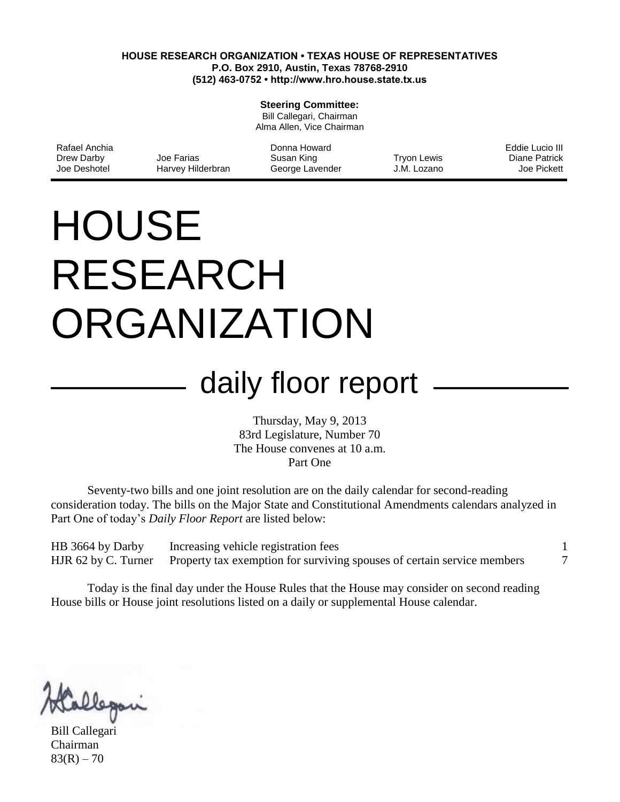#### **HOUSE RESEARCH ORGANIZATION • TEXAS HOUSE OF REPRESENTATIVES P.O. Box 2910, Austin, Texas 78768-2910 (512) 463-0752 • http://www.hro.house.state.tx.us**

#### **Steering Committee:**

Bill Callegari, Chairman Alma Allen, Vice Chairman

| Rafael Anchia |                   | Donna Howard    |             | Eddie Lucio III      |
|---------------|-------------------|-----------------|-------------|----------------------|
| Drew Darby    | Joe Farias        | Susan King      | Trvon Lewis | <b>Diane Patrick</b> |
| Joe Deshotel  | Harvey Hilderbran | George Lavender | J.M. Lozano | Joe Pickett          |

# **HOUSE** RESEARCH **ORGANIZATION**

# daily floor report

Thursday, May 9, 2013 83rd Legislature, Number 70 The House convenes at 10 a.m. Part One

Seventy-two bills and one joint resolution are on the daily calendar for second-reading consideration today. The bills on the Major State and Constitutional Amendments calendars analyzed in Part One of today's *Daily Floor Report* are listed below:

HB 3664 by Darby [Increasing vehicle registration fees](#page-1-0) 1 HJR 62 by C. Turner [Property tax exemption for surviving spouses of certain service members](#page-7-0) 7

Today is the final day under the House Rules that the House may consider on second reading House bills or House joint resolutions listed on a daily or supplemental House calendar.

llem

Bill Callegari Chairman  $83(R) - 70$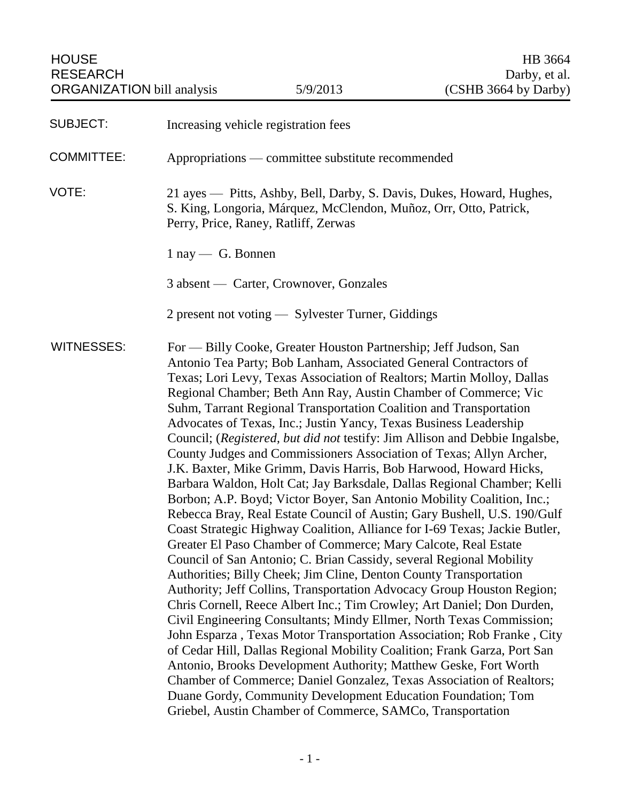<span id="page-1-0"></span>

| <b>SUBJECT:</b>   | Increasing vehicle registration fees                                                                                                                                                                                                                                                                                                                                                                                                                                                                                                                                                                                                                                                                                                                                                                                                                                                                                                                                                                                                                                                                                                                                                                                                                                                                                                                                                                                                                                                                                                                                                                                                                                                                                                                                                                                                             |  |
|-------------------|--------------------------------------------------------------------------------------------------------------------------------------------------------------------------------------------------------------------------------------------------------------------------------------------------------------------------------------------------------------------------------------------------------------------------------------------------------------------------------------------------------------------------------------------------------------------------------------------------------------------------------------------------------------------------------------------------------------------------------------------------------------------------------------------------------------------------------------------------------------------------------------------------------------------------------------------------------------------------------------------------------------------------------------------------------------------------------------------------------------------------------------------------------------------------------------------------------------------------------------------------------------------------------------------------------------------------------------------------------------------------------------------------------------------------------------------------------------------------------------------------------------------------------------------------------------------------------------------------------------------------------------------------------------------------------------------------------------------------------------------------------------------------------------------------------------------------------------------------|--|
| <b>COMMITTEE:</b> | Appropriations — committee substitute recommended                                                                                                                                                                                                                                                                                                                                                                                                                                                                                                                                                                                                                                                                                                                                                                                                                                                                                                                                                                                                                                                                                                                                                                                                                                                                                                                                                                                                                                                                                                                                                                                                                                                                                                                                                                                                |  |
| VOTE:             | 21 ayes — Pitts, Ashby, Bell, Darby, S. Davis, Dukes, Howard, Hughes,<br>S. King, Longoria, Márquez, McClendon, Muñoz, Orr, Otto, Patrick,<br>Perry, Price, Raney, Ratliff, Zerwas                                                                                                                                                                                                                                                                                                                                                                                                                                                                                                                                                                                                                                                                                                                                                                                                                                                                                                                                                                                                                                                                                                                                                                                                                                                                                                                                                                                                                                                                                                                                                                                                                                                               |  |
|                   | $1 \text{ nay} \longrightarrow G$ . Bonnen                                                                                                                                                                                                                                                                                                                                                                                                                                                                                                                                                                                                                                                                                                                                                                                                                                                                                                                                                                                                                                                                                                                                                                                                                                                                                                                                                                                                                                                                                                                                                                                                                                                                                                                                                                                                       |  |
|                   | 3 absent — Carter, Crownover, Gonzales                                                                                                                                                                                                                                                                                                                                                                                                                                                                                                                                                                                                                                                                                                                                                                                                                                                                                                                                                                                                                                                                                                                                                                                                                                                                                                                                                                                                                                                                                                                                                                                                                                                                                                                                                                                                           |  |
|                   | 2 present not voting — Sylvester Turner, Giddings                                                                                                                                                                                                                                                                                                                                                                                                                                                                                                                                                                                                                                                                                                                                                                                                                                                                                                                                                                                                                                                                                                                                                                                                                                                                                                                                                                                                                                                                                                                                                                                                                                                                                                                                                                                                |  |
| <b>WITNESSES:</b> | For — Billy Cooke, Greater Houston Partnership; Jeff Judson, San<br>Antonio Tea Party; Bob Lanham, Associated General Contractors of<br>Texas; Lori Levy, Texas Association of Realtors; Martin Molloy, Dallas<br>Regional Chamber; Beth Ann Ray, Austin Chamber of Commerce; Vic<br>Suhm, Tarrant Regional Transportation Coalition and Transportation<br>Advocates of Texas, Inc.; Justin Yancy, Texas Business Leadership<br>Council; (Registered, but did not testify: Jim Allison and Debbie Ingalsbe,<br>County Judges and Commissioners Association of Texas; Allyn Archer,<br>J.K. Baxter, Mike Grimm, Davis Harris, Bob Harwood, Howard Hicks,<br>Barbara Waldon, Holt Cat; Jay Barksdale, Dallas Regional Chamber; Kelli<br>Borbon; A.P. Boyd; Victor Boyer, San Antonio Mobility Coalition, Inc.;<br>Rebecca Bray, Real Estate Council of Austin; Gary Bushell, U.S. 190/Gulf<br>Coast Strategic Highway Coalition, Alliance for I-69 Texas; Jackie Butler,<br>Greater El Paso Chamber of Commerce; Mary Calcote, Real Estate<br>Council of San Antonio; C. Brian Cassidy, several Regional Mobility<br>Authorities; Billy Cheek; Jim Cline, Denton County Transportation<br>Authority; Jeff Collins, Transportation Advocacy Group Houston Region;<br>Chris Cornell, Reece Albert Inc.; Tim Crowley; Art Daniel; Don Durden,<br>Civil Engineering Consultants; Mindy Ellmer, North Texas Commission;<br>John Esparza, Texas Motor Transportation Association; Rob Franke, City<br>of Cedar Hill, Dallas Regional Mobility Coalition; Frank Garza, Port San<br>Antonio, Brooks Development Authority; Matthew Geske, Fort Worth<br>Chamber of Commerce; Daniel Gonzalez, Texas Association of Realtors;<br>Duane Gordy, Community Development Education Foundation; Tom<br>Griebel, Austin Chamber of Commerce, SAMCo, Transportation |  |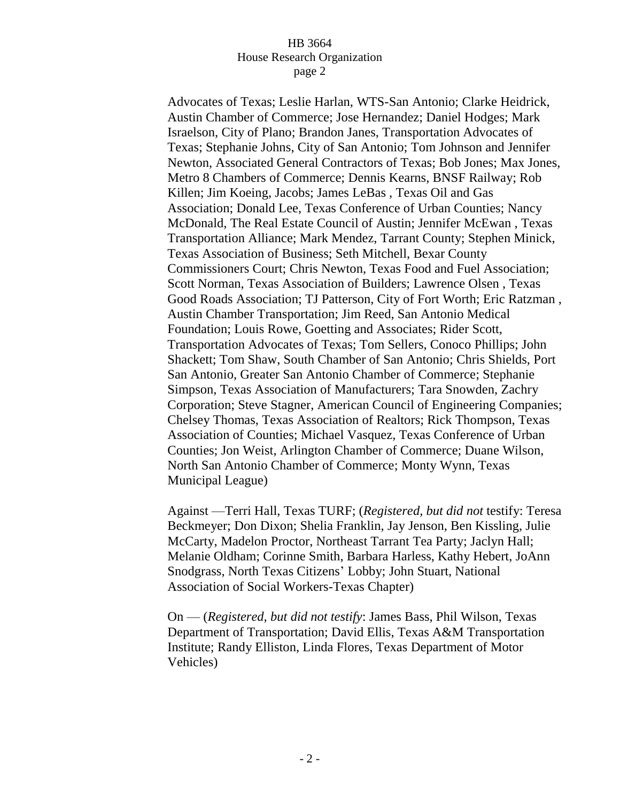Advocates of Texas; Leslie Harlan, WTS-San Antonio; Clarke Heidrick, Austin Chamber of Commerce; Jose Hernandez; Daniel Hodges; Mark Israelson, City of Plano; Brandon Janes, Transportation Advocates of Texas; Stephanie Johns, City of San Antonio; Tom Johnson and Jennifer Newton, Associated General Contractors of Texas; Bob Jones; Max Jones, Metro 8 Chambers of Commerce; Dennis Kearns, BNSF Railway; Rob Killen; Jim Koeing, Jacobs; James LeBas , Texas Oil and Gas Association; Donald Lee, Texas Conference of Urban Counties; Nancy McDonald, The Real Estate Council of Austin; Jennifer McEwan , Texas Transportation Alliance; Mark Mendez, Tarrant County; Stephen Minick, Texas Association of Business; Seth Mitchell, Bexar County Commissioners Court; Chris Newton, Texas Food and Fuel Association; Scott Norman, Texas Association of Builders; Lawrence Olsen , Texas Good Roads Association; TJ Patterson, City of Fort Worth; Eric Ratzman , Austin Chamber Transportation; Jim Reed, San Antonio Medical Foundation; Louis Rowe, Goetting and Associates; Rider Scott, Transportation Advocates of Texas; Tom Sellers, Conoco Phillips; John Shackett; Tom Shaw, South Chamber of San Antonio; Chris Shields, Port San Antonio, Greater San Antonio Chamber of Commerce; Stephanie Simpson, Texas Association of Manufacturers; Tara Snowden, Zachry Corporation; Steve Stagner, American Council of Engineering Companies; Chelsey Thomas, Texas Association of Realtors; Rick Thompson, Texas Association of Counties; Michael Vasquez, Texas Conference of Urban Counties; Jon Weist, Arlington Chamber of Commerce; Duane Wilson, North San Antonio Chamber of Commerce; Monty Wynn, Texas Municipal League)

Against —Terri Hall, Texas TURF; (*Registered, but did not* testify: Teresa Beckmeyer; Don Dixon; Shelia Franklin, Jay Jenson, Ben Kissling, Julie McCarty, Madelon Proctor, Northeast Tarrant Tea Party; Jaclyn Hall; Melanie Oldham; Corinne Smith, Barbara Harless, Kathy Hebert, JoAnn Snodgrass, North Texas Citizens' Lobby; John Stuart, National Association of Social Workers-Texas Chapter)

On — (*Registered, but did not testify*: James Bass, Phil Wilson, Texas Department of Transportation; David Ellis, Texas A&M Transportation Institute; Randy Elliston, Linda Flores, Texas Department of Motor Vehicles)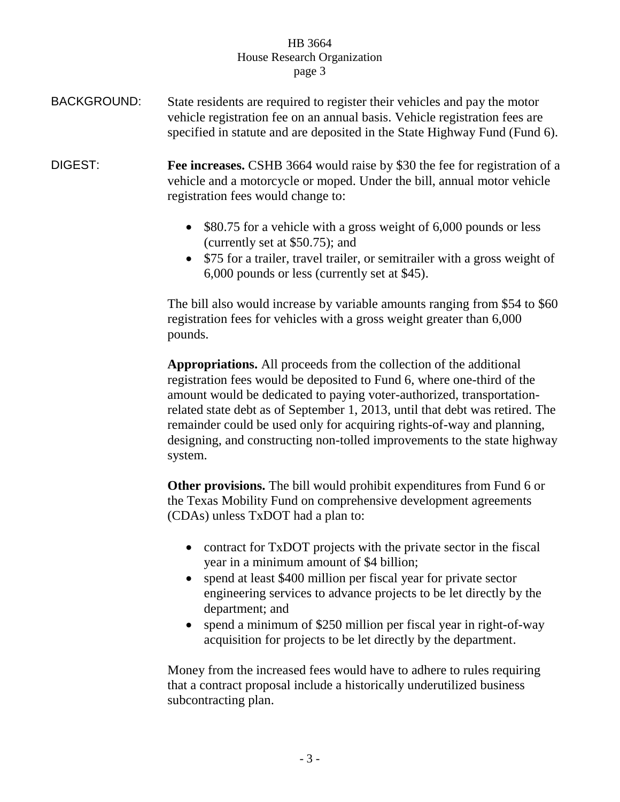- BACKGROUND: State residents are required to register their vehicles and pay the motor vehicle registration fee on an annual basis. Vehicle registration fees are specified in statute and are deposited in the State Highway Fund (Fund 6).
- DIGEST: **Fee increases.** CSHB 3664 would raise by \$30 the fee for registration of a vehicle and a motorcycle or moped. Under the bill, annual motor vehicle registration fees would change to:
	- \$80.75 for a vehicle with a gross weight of 6,000 pounds or less (currently set at \$50.75); and
	- \$75 for a trailer, travel trailer, or semitrailer with a gross weight of 6,000 pounds or less (currently set at \$45).

The bill also would increase by variable amounts ranging from \$54 to \$60 registration fees for vehicles with a gross weight greater than 6,000 pounds.

**Appropriations.** All proceeds from the collection of the additional registration fees would be deposited to Fund 6, where one-third of the amount would be dedicated to paying voter-authorized, transportationrelated state debt as of September 1, 2013, until that debt was retired. The remainder could be used only for acquiring rights-of-way and planning, designing, and constructing non-tolled improvements to the state highway system.

**Other provisions.** The bill would prohibit expenditures from Fund 6 or the Texas Mobility Fund on comprehensive development agreements (CDAs) unless TxDOT had a plan to:

- contract for TxDOT projects with the private sector in the fiscal year in a minimum amount of \$4 billion;
- spend at least \$400 million per fiscal year for private sector engineering services to advance projects to be let directly by the department; and
- spend a minimum of \$250 million per fiscal year in right-of-way acquisition for projects to be let directly by the department.

Money from the increased fees would have to adhere to rules requiring that a contract proposal include a historically underutilized business subcontracting plan.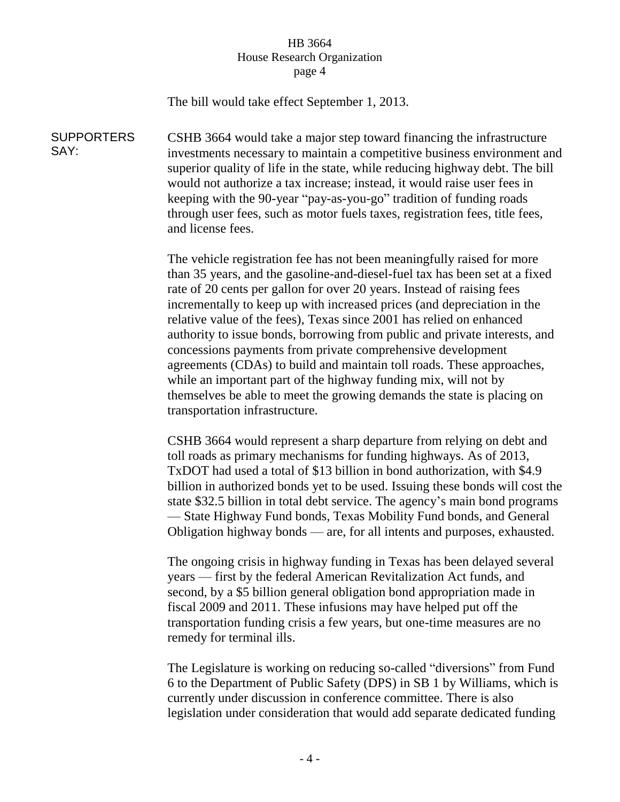The bill would take effect September 1, 2013.

**SUPPORTERS** SAY: CSHB 3664 would take a major step toward financing the infrastructure investments necessary to maintain a competitive business environment and superior quality of life in the state, while reducing highway debt. The bill would not authorize a tax increase; instead, it would raise user fees in keeping with the 90-year "pay-as-you-go" tradition of funding roads through user fees, such as motor fuels taxes, registration fees, title fees, and license fees.

> The vehicle registration fee has not been meaningfully raised for more than 35 years, and the gasoline-and-diesel-fuel tax has been set at a fixed rate of 20 cents per gallon for over 20 years. Instead of raising fees incrementally to keep up with increased prices (and depreciation in the relative value of the fees), Texas since 2001 has relied on enhanced authority to issue bonds, borrowing from public and private interests, and concessions payments from private comprehensive development agreements (CDAs) to build and maintain toll roads. These approaches, while an important part of the highway funding mix, will not by themselves be able to meet the growing demands the state is placing on transportation infrastructure.

CSHB 3664 would represent a sharp departure from relying on debt and toll roads as primary mechanisms for funding highways. As of 2013, TxDOT had used a total of \$13 billion in bond authorization, with \$4.9 billion in authorized bonds yet to be used. Issuing these bonds will cost the state \$32.5 billion in total debt service. The agency's main bond programs — State Highway Fund bonds, Texas Mobility Fund bonds, and General Obligation highway bonds — are, for all intents and purposes, exhausted.

The ongoing crisis in highway funding in Texas has been delayed several years — first by the federal American Revitalization Act funds, and second, by a \$5 billion general obligation bond appropriation made in fiscal 2009 and 2011. These infusions may have helped put off the transportation funding crisis a few years, but one-time measures are no remedy for terminal ills.

The Legislature is working on reducing so-called "diversions" from Fund 6 to the Department of Public Safety (DPS) in SB 1 by Williams, which is currently under discussion in conference committee. There is also legislation under consideration that would add separate dedicated funding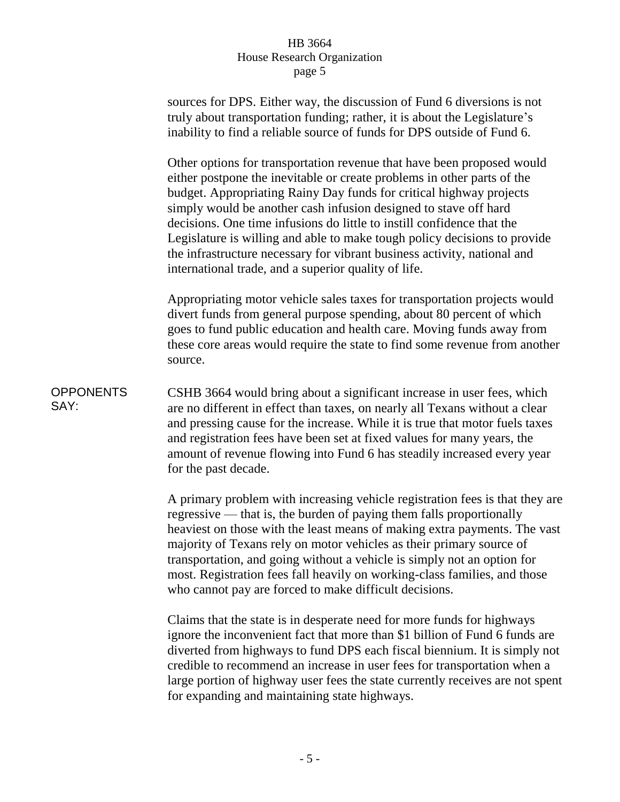sources for DPS. Either way, the discussion of Fund 6 diversions is not truly about transportation funding; rather, it is about the Legislature's inability to find a reliable source of funds for DPS outside of Fund 6. Other options for transportation revenue that have been proposed would either postpone the inevitable or create problems in other parts of the budget. Appropriating Rainy Day funds for critical highway projects simply would be another cash infusion designed to stave off hard decisions. One time infusions do little to instill confidence that the Legislature is willing and able to make tough policy decisions to provide the infrastructure necessary for vibrant business activity, national and international trade, and a superior quality of life. Appropriating motor vehicle sales taxes for transportation projects would divert funds from general purpose spending, about 80 percent of which goes to fund public education and health care. Moving funds away from these core areas would require the state to find some revenue from another source. **OPPONENTS** SAY: CSHB 3664 would bring about a significant increase in user fees, which are no different in effect than taxes, on nearly all Texans without a clear and pressing cause for the increase. While it is true that motor fuels taxes and registration fees have been set at fixed values for many years, the amount of revenue flowing into Fund 6 has steadily increased every year for the past decade. A primary problem with increasing vehicle registration fees is that they are regressive — that is, the burden of paying them falls proportionally heaviest on those with the least means of making extra payments. The vast

majority of Texans rely on motor vehicles as their primary source of transportation, and going without a vehicle is simply not an option for most. Registration fees fall heavily on working-class families, and those who cannot pay are forced to make difficult decisions.

Claims that the state is in desperate need for more funds for highways ignore the inconvenient fact that more than \$1 billion of Fund 6 funds are diverted from highways to fund DPS each fiscal biennium. It is simply not credible to recommend an increase in user fees for transportation when a large portion of highway user fees the state currently receives are not spent for expanding and maintaining state highways.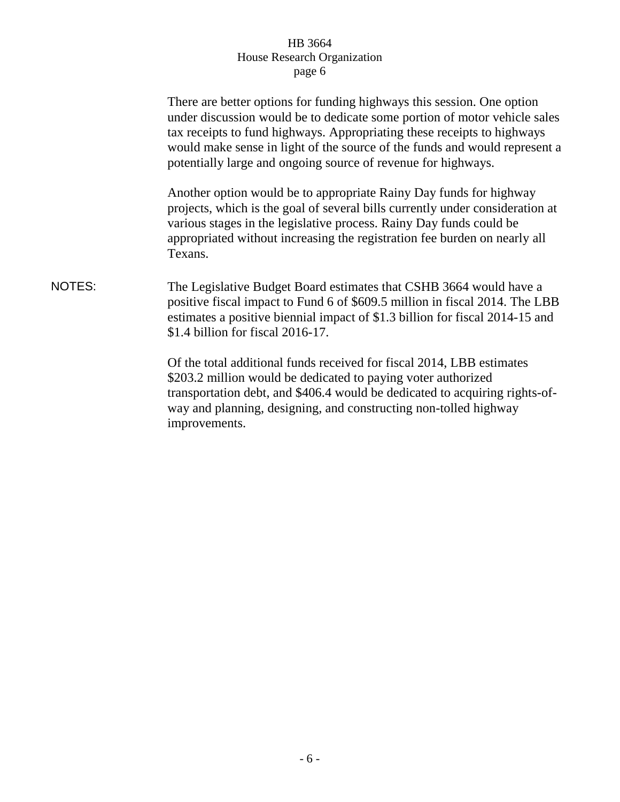|        | There are better options for funding highways this session. One option<br>under discussion would be to dedicate some portion of motor vehicle sales<br>tax receipts to fund highways. Appropriating these receipts to highways<br>would make sense in light of the source of the funds and would represent a<br>potentially large and ongoing source of revenue for highways. |
|--------|-------------------------------------------------------------------------------------------------------------------------------------------------------------------------------------------------------------------------------------------------------------------------------------------------------------------------------------------------------------------------------|
|        | Another option would be to appropriate Rainy Day funds for highway<br>projects, which is the goal of several bills currently under consideration at<br>various stages in the legislative process. Rainy Day funds could be<br>appropriated without increasing the registration fee burden on nearly all<br>Texans.                                                            |
| NOTES: | The Legislative Budget Board estimates that CSHB 3664 would have a<br>positive fiscal impact to Fund 6 of \$609.5 million in fiscal 2014. The LBB<br>estimates a positive biennial impact of \$1.3 billion for fiscal 2014-15 and<br>$$1.4$ billion for fiscal 2016-17.                                                                                                       |
|        | Of the total additional funds received for fiscal 2014, LBB estimates<br>\$203.2 million would be dedicated to paying voter authorized<br>transportation debt, and \$406.4 would be dedicated to acquiring rights-of-<br>way and planning, designing, and constructing non-tolled highway<br>improvements.                                                                    |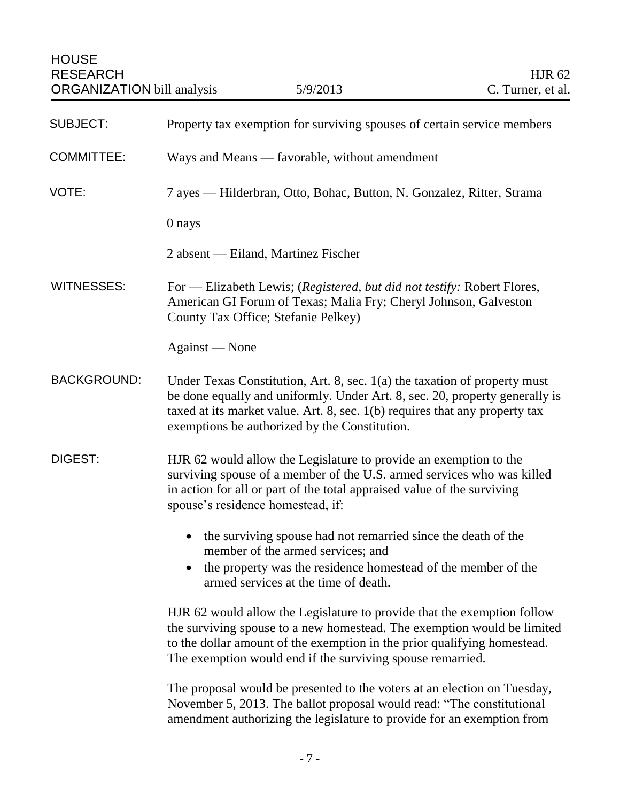<span id="page-7-0"></span>**HOUSE** RESEARCH HJR 62 ORGANIZATION bill analysis 5/9/2013 C. Turner, et al. SUBJECT: Property tax exemption for surviving spouses of certain service members COMMITTEE: Ways and Means — favorable, without amendment VOTE: 7 ayes — Hilderbran, Otto, Bohac, Button, N. Gonzalez, Ritter, Strama 0 nays 2 absent — Eiland, Martinez Fischer WITNESSES: For — Elizabeth Lewis; (*Registered, but did not testify:* Robert Flores, American GI Forum of Texas; Malia Fry; Cheryl Johnson, Galveston County Tax Office; Stefanie Pelkey) Against — None BACKGROUND: Under Texas Constitution, Art. 8, sec. 1(a) the taxation of property must be done equally and uniformly. Under Art. 8, sec. 20, property generally is taxed at its market value. Art. 8, sec. 1(b) requires that any property tax exemptions be authorized by the Constitution. DIGEST: HJR 62 would allow the Legislature to provide an exemption to the surviving spouse of a member of the U.S. armed services who was killed in action for all or part of the total appraised value of the surviving spouse's residence homestead, if: • the surviving spouse had not remarried since the death of the member of the armed services; and • the property was the residence homestead of the member of the

> HJR 62 would allow the Legislature to provide that the exemption follow the surviving spouse to a new homestead. The exemption would be limited to the dollar amount of the exemption in the prior qualifying homestead. The exemption would end if the surviving spouse remarried.

The proposal would be presented to the voters at an election on Tuesday, November 5, 2013. The ballot proposal would read: "The constitutional amendment authorizing the legislature to provide for an exemption from

armed services at the time of death.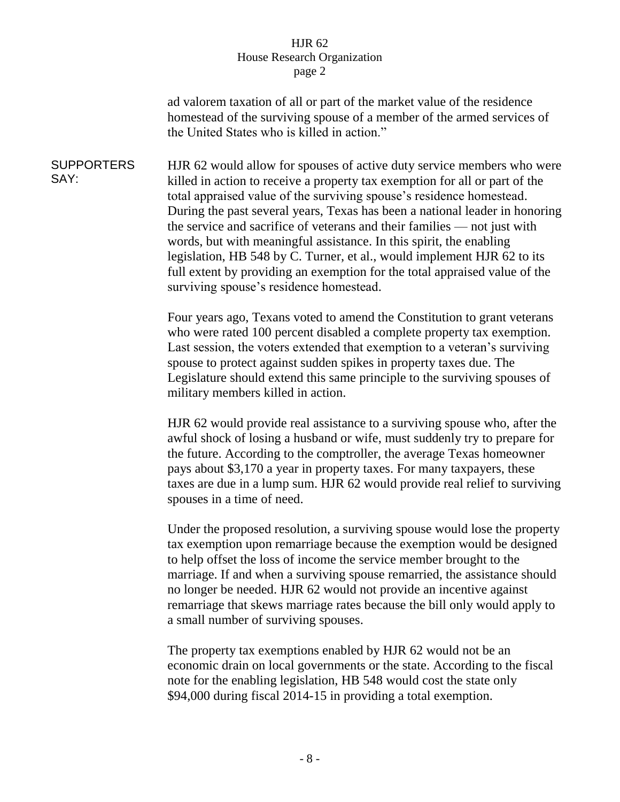ad valorem taxation of all or part of the market value of the residence homestead of the surviving spouse of a member of the armed services of the United States who is killed in action."

**SUPPORTERS** SAY: HJR 62 would allow for spouses of active duty service members who were killed in action to receive a property tax exemption for all or part of the total appraised value of the surviving spouse's residence homestead. During the past several years, Texas has been a national leader in honoring the service and sacrifice of veterans and their families — not just with words, but with meaningful assistance. In this spirit, the enabling legislation, HB 548 by C. Turner, et al., would implement HJR 62 to its full extent by providing an exemption for the total appraised value of the surviving spouse's residence homestead.

> Four years ago, Texans voted to amend the Constitution to grant veterans who were rated 100 percent disabled a complete property tax exemption. Last session, the voters extended that exemption to a veteran's surviving spouse to protect against sudden spikes in property taxes due. The Legislature should extend this same principle to the surviving spouses of military members killed in action.

HJR 62 would provide real assistance to a surviving spouse who, after the awful shock of losing a husband or wife, must suddenly try to prepare for the future. According to the comptroller, the average Texas homeowner pays about \$3,170 a year in property taxes. For many taxpayers, these taxes are due in a lump sum. HJR 62 would provide real relief to surviving spouses in a time of need.

Under the proposed resolution, a surviving spouse would lose the property tax exemption upon remarriage because the exemption would be designed to help offset the loss of income the service member brought to the marriage. If and when a surviving spouse remarried, the assistance should no longer be needed. HJR 62 would not provide an incentive against remarriage that skews marriage rates because the bill only would apply to a small number of surviving spouses.

The property tax exemptions enabled by HJR 62 would not be an economic drain on local governments or the state. According to the fiscal note for the enabling legislation, HB 548 would cost the state only \$94,000 during fiscal 2014-15 in providing a total exemption.